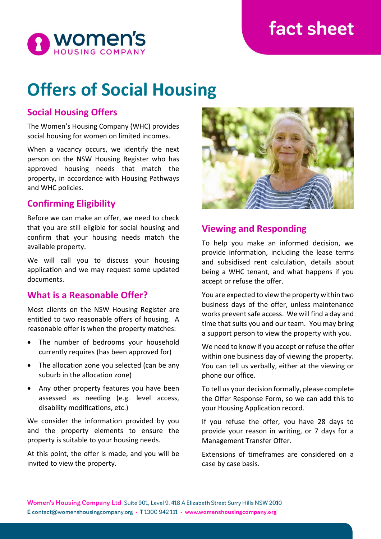## fact sheet



# **Offers of Social Housing**

## **Social Housing Offers**

The Women's Housing Company (WHC) provides social housing for women on limited incomes.

When a vacancy occurs, we identify the next person on the NSW Housing Register who has approved housing needs that match the property, in accordance with Housing Pathways and WHC policies.

## **Confirming Eligibility**

Before we can make an offer, we need to check that you are still eligible for social housing and confirm that your housing needs match the available property.

We will call you to discuss your housing application and we may request some updated documents.

#### **What is a Reasonable Offer?**

Most clients on the NSW Housing Register are entitled to two reasonable offers of housing. A reasonable offer is when the property matches:

- The number of bedrooms your household currently requires (has been approved for)
- The allocation zone you selected (can be any suburb in the allocation zone)
- Any other property features you have been assessed as needing (e.g. level access, disability modifications, etc.)

We consider the information provided by you and the property elements to ensure the property is suitable to your housing needs.

At this point, the offer is made, and you will be invited to view the property.



## **Viewing and Responding**

To help you make an informed decision, we provide information, including the lease terms and subsidised rent calculation, details about being a WHC tenant, and what happens if you accept or refuse the offer.

You are expected to view the property within two business days of the offer, unless maintenance works prevent safe access. We will find a day and time that suits you and our team. You may bring a support person to view the property with you.

We need to know if you accept or refuse the offer within one business day of viewing the property. You can tell us verbally, either at the viewing or phone our office.

To tell us your decision formally, please complete the Offer Response Form, so we can add this to your Housing Application record.

If you refuse the offer, you have 28 days to provide your reason in writing, or 7 days for a Management Transfer Offer.

Extensions of timeframes are considered on a case by case basis.